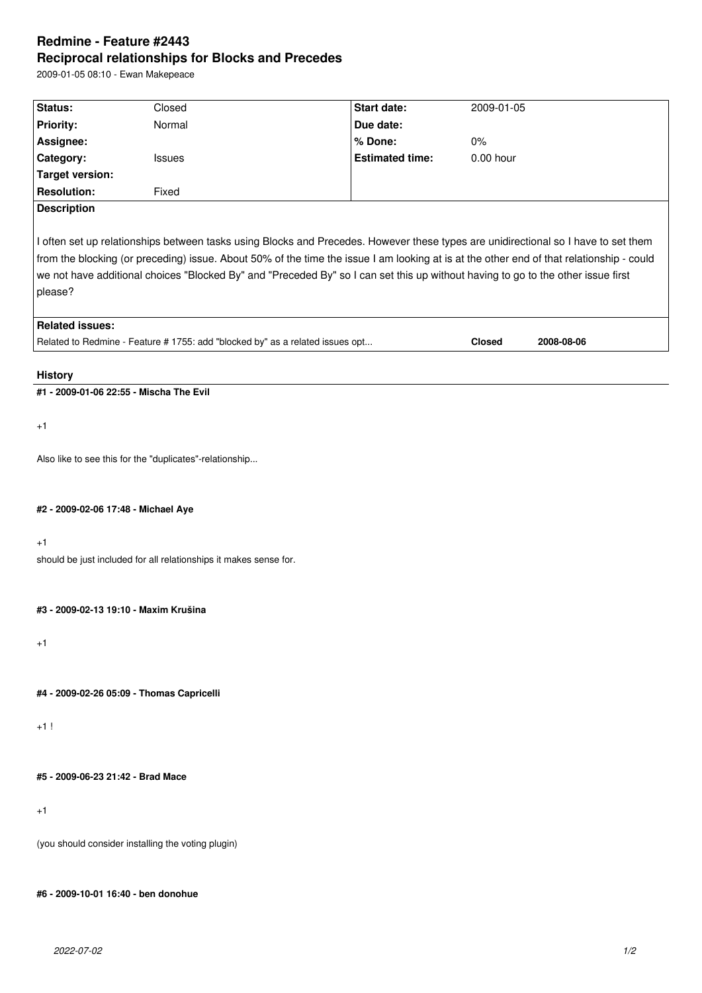# **Redmine - Feature #2443 Reciprocal relationships for Blocks and Precedes**

2009-01-05 08:10 - Ewan Makepeace

| Status:                                                                                                                                  | Closed | Start date:            | 2009-01-05    |            |
|------------------------------------------------------------------------------------------------------------------------------------------|--------|------------------------|---------------|------------|
| <b>Priority:</b>                                                                                                                         | Normal | Due date:              |               |            |
| Assignee:                                                                                                                                |        | % Done:                | $0\%$         |            |
| Category:                                                                                                                                | Issues | <b>Estimated time:</b> | $0.00$ hour   |            |
| <b>Target version:</b>                                                                                                                   |        |                        |               |            |
| <b>Resolution:</b>                                                                                                                       | Fixed  |                        |               |            |
| <b>Description</b>                                                                                                                       |        |                        |               |            |
| I often set up relationships between tasks using Blocks and Precedes. However these types are unidirectional so I have to set them       |        |                        |               |            |
| from the blocking (or preceding) issue. About 50% of the time the issue I am looking at is at the other end of that relationship - could |        |                        |               |            |
| we not have additional choices "Blocked By" and "Preceded By" so I can set this up without having to go to the other issue first         |        |                        |               |            |
| please?                                                                                                                                  |        |                        |               |            |
| <b>Related issues:</b>                                                                                                                   |        |                        |               |            |
| Related to Redmine - Feature # 1755: add "blocked by" as a related issues opt                                                            |        |                        | <b>Closed</b> | 2008-08-06 |
|                                                                                                                                          |        |                        |               |            |
| <b>History</b>                                                                                                                           |        |                        |               |            |
| #1 - 2009-01-06 22:55 - Mischa The Evil                                                                                                  |        |                        |               |            |
|                                                                                                                                          |        |                        |               |            |
| $+1$                                                                                                                                     |        |                        |               |            |
|                                                                                                                                          |        |                        |               |            |
| Also like to see this for the "duplicates"-relationship                                                                                  |        |                        |               |            |
|                                                                                                                                          |        |                        |               |            |
|                                                                                                                                          |        |                        |               |            |
| #2 - 2009-02-06 17:48 - Michael Aye                                                                                                      |        |                        |               |            |
|                                                                                                                                          |        |                        |               |            |
| $+1$                                                                                                                                     |        |                        |               |            |
| should be just included for all relationships it makes sense for.                                                                        |        |                        |               |            |
|                                                                                                                                          |        |                        |               |            |
| #3 - 2009-02-13 19:10 - Maxim Krušina                                                                                                    |        |                        |               |            |
|                                                                                                                                          |        |                        |               |            |
| $+1$                                                                                                                                     |        |                        |               |            |
|                                                                                                                                          |        |                        |               |            |
|                                                                                                                                          |        |                        |               |            |
| #4 - 2009-02-26 05:09 - Thomas Capricelli                                                                                                |        |                        |               |            |
|                                                                                                                                          |        |                        |               |            |
| $+1!$                                                                                                                                    |        |                        |               |            |
|                                                                                                                                          |        |                        |               |            |

**#5 - 2009-06-23 21:42 - Brad Mace**

+1

(you should consider installing the voting plugin)

**#6 - 2009-10-01 16:40 - ben donohue**